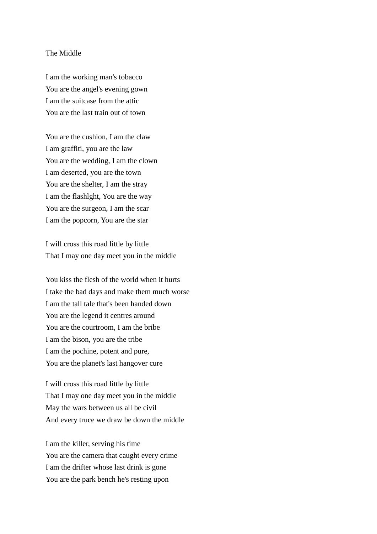## The Middle

I am the working man's tobacco You are the angel's evening gown I am the suitcase from the attic You are the last train out of town

You are the cushion, I am the claw I am graffiti, you are the law You are the wedding, I am the clown I am deserted, you are the town You are the shelter, I am the stray I am the flashlght, You are the way You are the surgeon, I am the scar I am the popcorn, You are the star

I will cross this road little by little That I may one day meet you in the middle

You kiss the flesh of the world when it hurts I take the bad days and make them much worse I am the tall tale that's been handed down You are the legend it centres around You are the courtroom, I am the bribe I am the bison, you are the tribe I am the pochine, potent and pure, You are the planet's last hangover cure

I will cross this road little by little That I may one day meet you in the middle May the wars between us all be civil And every truce we draw be down the middle

I am the killer, serving his time You are the camera that caught every crime I am the drifter whose last drink is gone You are the park bench he's resting upon